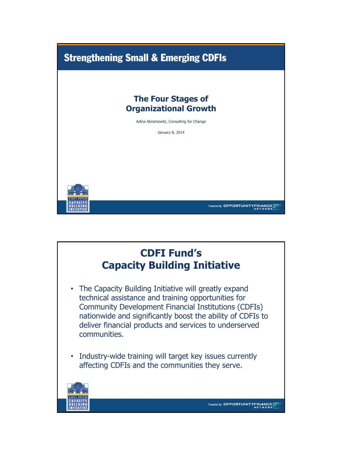

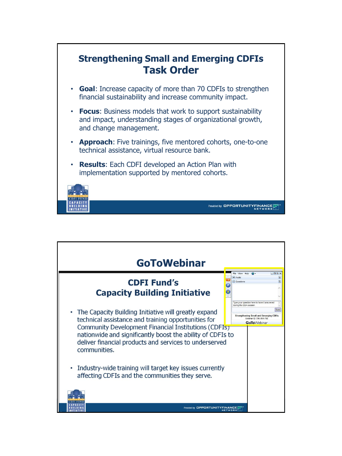

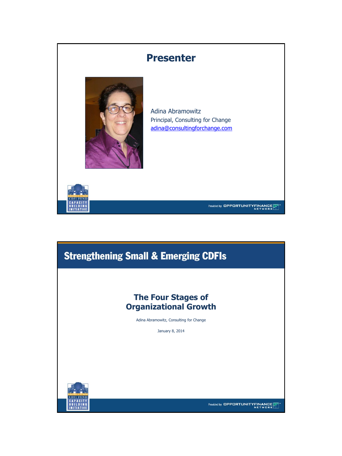

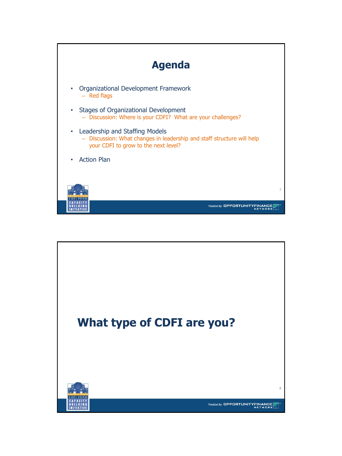

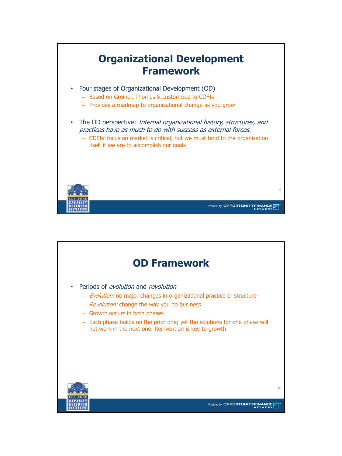

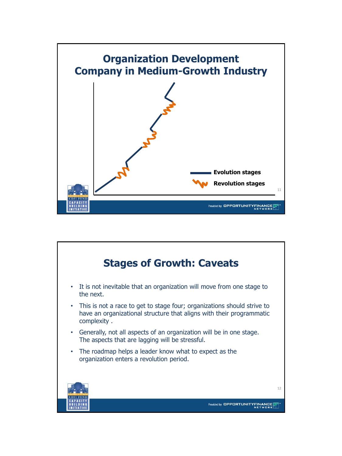

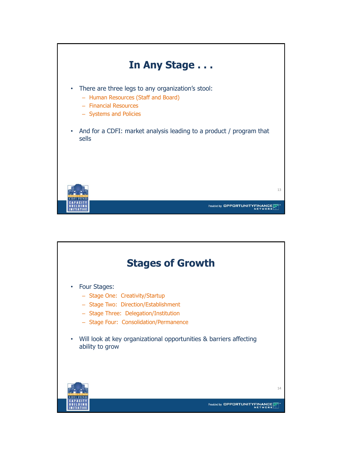

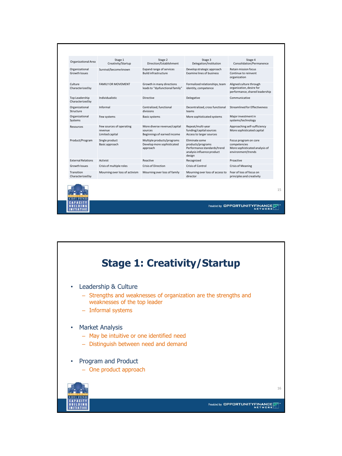| Organizational Area                    | Stage 1<br>Creativity/Startup                          | Stage 2<br>Direction/Establishment                                     | Stage 3<br>Delegation/Institution                                                                                 | Stage 4<br>Consolidation/Permanence                                                           |
|----------------------------------------|--------------------------------------------------------|------------------------------------------------------------------------|-------------------------------------------------------------------------------------------------------------------|-----------------------------------------------------------------------------------------------|
| Organizational<br><b>Growth Issues</b> | Survival/become known                                  | Expand range of services<br><b>Build infrastructure</b>                | Develop strategic approach<br><b>Examine lines of business</b>                                                    | Retain mission focus<br>Continue to reinvent<br>organization                                  |
| Culture<br>Characterized by            | <b>FAMILY OR MOVEMENT</b>                              | Growth in many directions<br>leads to "dysfunctional family"           | Formalized relationships, team<br>identity, competence                                                            | Aligned culture through<br>organization, desire for<br>performance, shared leadership         |
| Top Leadership<br>Characterized by     | Individualistic                                        | Directive                                                              | Delegative                                                                                                        | Communicative                                                                                 |
| Organizational<br>Structure            | Informal                                               | Centralized, functional<br>divisions                                   | Decentralized, cross functional<br>teams                                                                          | Streamlined for Effectiveness                                                                 |
| Organizational<br>Systems              | Few systems                                            | <b>Basic systems</b>                                                   | More sophisticated systems                                                                                        | Major investment in<br>systems/technology                                                     |
| Resources                              | Few sources of operating<br>revenue<br>Limited capital | More diverse revenue/capital<br>sources<br>Beginnings of earned income | Repeat/multi-year<br>funding/capital sources<br>Access to larger sources                                          | Approaching self-sufficiency<br>More sophisticated capital                                    |
| Product/Program                        | Single product<br>Basic approach                       | Multiple products/programs<br>Develop more sophisticated<br>approach   | <b>Eliminate some</b><br>products/programs<br>Performance standards/trend<br>analysis influence product<br>design | Focus program on core<br>competencies<br>More sophisticated analysis of<br>environment/trends |
| <b>External Relations</b>              | Activist                                               | Reactive                                                               | Recognized                                                                                                        | Proactive                                                                                     |
| <b>Growth Issues</b>                   | Crisis of multiple roles                               | Crisis of Direction                                                    | Crisis of Control                                                                                                 | <b>Crisis of Meaning</b>                                                                      |
| Transition<br>Characterized by         | Mourning over loss of activism                         | Mourning over loss of family                                           | Mourning over loss of access to<br>director                                                                       | Fear of loss of focus on<br>principles and creativity                                         |
| <b>FIIND</b>                           |                                                        |                                                                        |                                                                                                                   |                                                                                               |

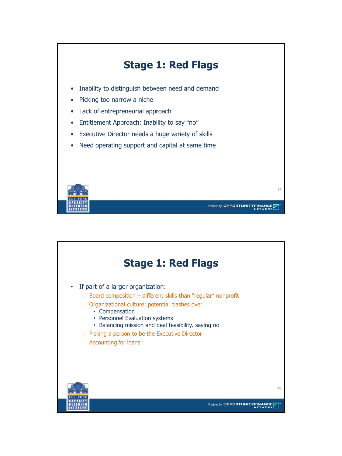

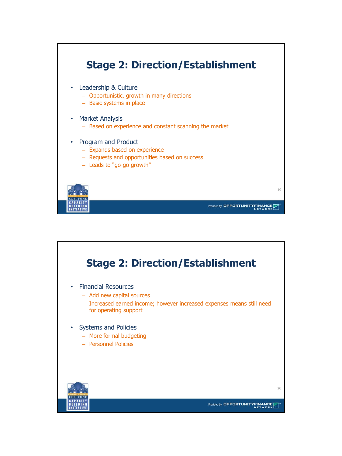

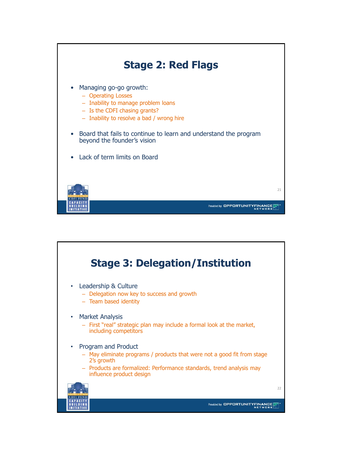

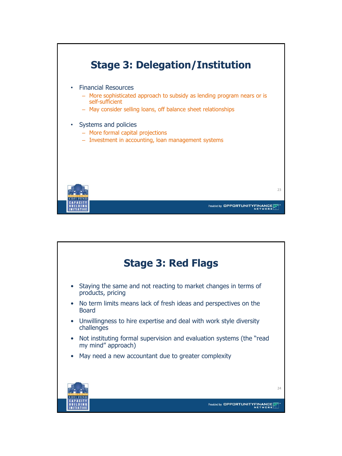

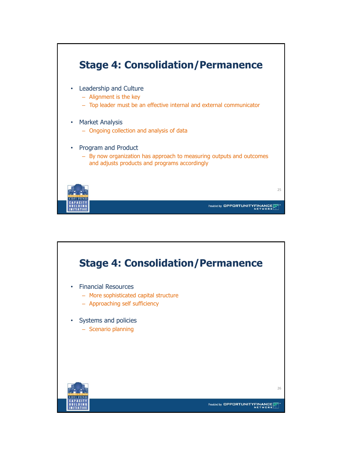

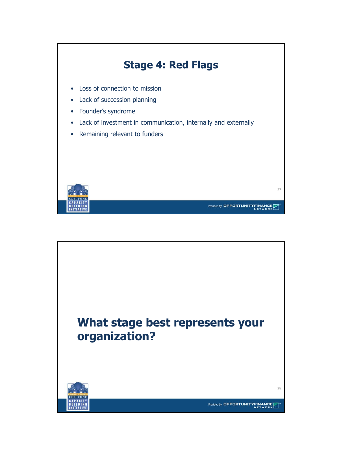

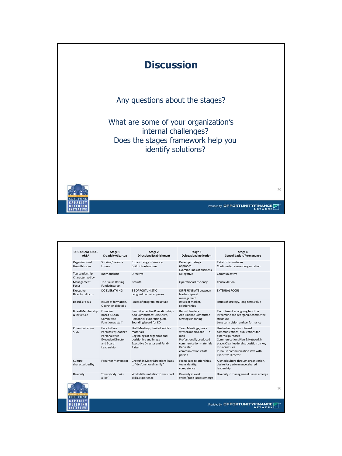

| <b>ORGANIZATIONAL</b><br><b>AREA</b>   | Stage 1<br>Creativity/Startup                                                                                  | Stage 2<br><b>Direction/Establishment</b>                                                                                                              | Stage 3<br>Delegation/Institution                                                                                                                        | Stage 4<br><b>Consolidation/Permanence</b>                                                                                                                                                                                                              |
|----------------------------------------|----------------------------------------------------------------------------------------------------------------|--------------------------------------------------------------------------------------------------------------------------------------------------------|----------------------------------------------------------------------------------------------------------------------------------------------------------|---------------------------------------------------------------------------------------------------------------------------------------------------------------------------------------------------------------------------------------------------------|
| Organizational<br><b>Growth Issues</b> | Survival/become<br>known                                                                                       | Expand range of services<br><b>Build infrastructure</b>                                                                                                | Develop strategic<br>approach<br><b>Examine lines of business</b>                                                                                        | <b>Retain mission focus</b><br>Continue to reinvent organization                                                                                                                                                                                        |
| Top Leadership<br>Characterized by     | Individualistic                                                                                                | Directive                                                                                                                                              | Delegative                                                                                                                                               | Communicative                                                                                                                                                                                                                                           |
| Management<br>Focus                    | The Cause Raising<br>Funds/Interest                                                                            | Growth                                                                                                                                                 | <b>Operational Efficiency</b>                                                                                                                            | Consolidation                                                                                                                                                                                                                                           |
| Executive<br>Director's Focus          | DO EVERYTHING                                                                                                  | <b>BE OPPORTUNISTIC</b><br>Let go of technical pieces                                                                                                  | DIFFERENTIATE between<br>leadership and<br>management                                                                                                    | <b><i>EXTERNAL FOCUS</i></b>                                                                                                                                                                                                                            |
| Board's Focus                          | Issues of formation.<br>Operational details                                                                    | Issues of program, structure                                                                                                                           | Issues of market.<br>relationships                                                                                                                       | Issues of strategy, long-term value                                                                                                                                                                                                                     |
| <b>Board Membership</b><br>& Structure | Founders<br>Board & Loan<br>Committee<br><b>Function as staff</b>                                              | Recruit expertise & relationships<br>Add Committees: Executive.<br>Personnel, Fundraising, etc.<br>Sounding board for ED                               | Recruit Leaders<br>Add Finance Committee<br><b>Strategic Planning</b>                                                                                    | Recruitment as ongoing function<br>Streamline and reorganize committee<br>structure<br>Long term vision and performance                                                                                                                                 |
| Communication<br>Style                 | Face to Face<br>Persuasive; Leader's<br>Personal Style<br><b>Executive Director</b><br>and Board<br>Leadership | Staff Meetings; limited written<br>materials<br>Beginnings of organizational<br>positioning and image<br><b>Executive Director and Fund-</b><br>Raiser | Team Meetings; more<br>written memos and e-<br>mail<br>Professionally produced<br>communication materials<br>Dedicated<br>communications staff<br>person | Use technology for internal<br>communications; publications for<br>external purposes<br>Communications Plan & Network in<br>place; Clear leadership position on key<br>mission issues<br>In-house communication staff with<br><b>Executive Director</b> |
| Culture<br>characterized by            | Family or Movement                                                                                             | Growth in Many Directions leads<br>to "dysfunctional family"                                                                                           | Formalized relationships.<br>team identity,<br>competence                                                                                                | Aligned culture through organization,<br>desire for performance, shared<br>leadership                                                                                                                                                                   |
| Diversity                              | "Everybody looks<br>alike"                                                                                     | Work differentiation: Diversity of<br>skills, experience                                                                                               | Diversity in work<br>styles/goals issues emerge                                                                                                          | Diversity in management issues emerge                                                                                                                                                                                                                   |



Provided by OPPORTUNITYFINANCE

30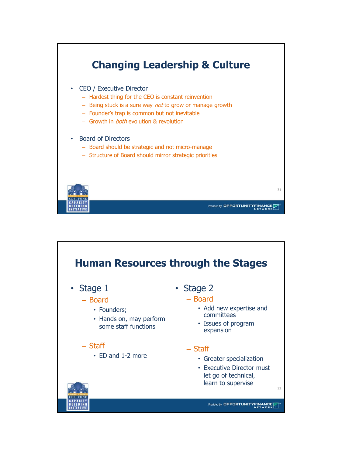

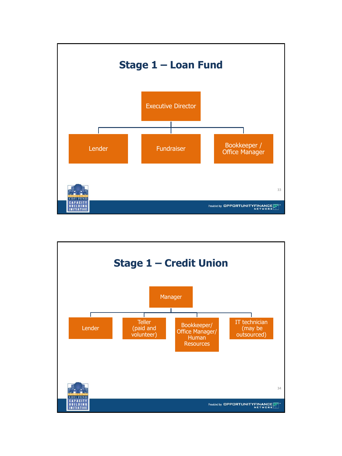

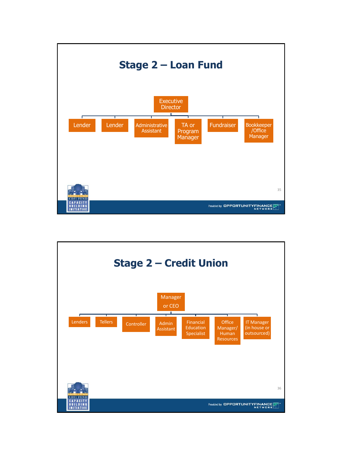

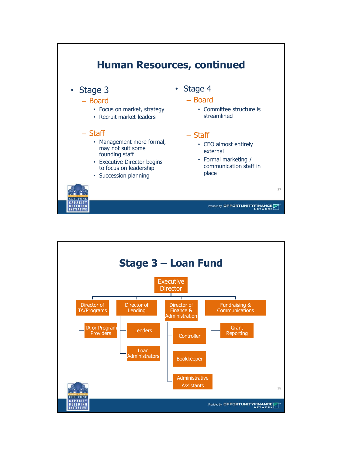

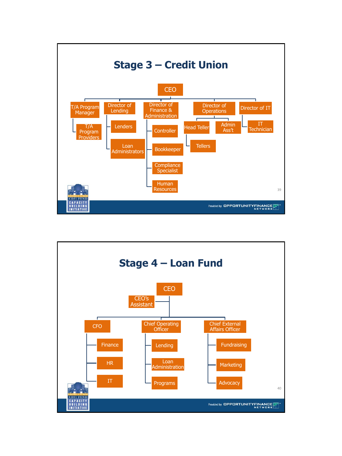

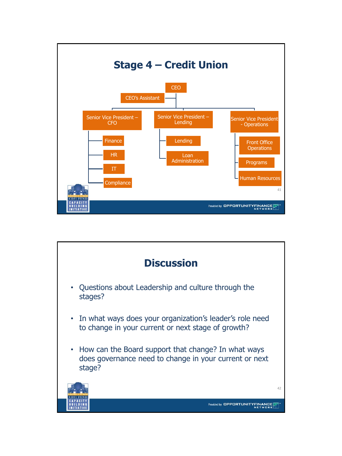

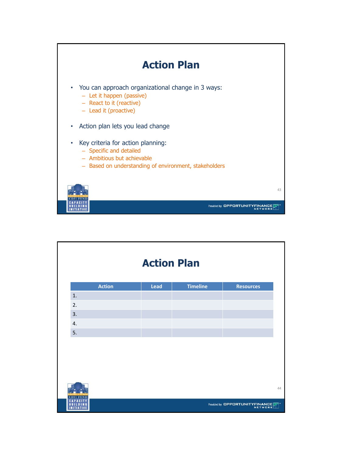

|              |               | <b>Action Plan</b> |                 |                                |    |
|--------------|---------------|--------------------|-----------------|--------------------------------|----|
|              | <b>Action</b> | Lead               | <b>Timeline</b> | <b>Resources</b>               |    |
| 1.           |               |                    |                 |                                |    |
| 2.           |               |                    |                 |                                |    |
| 3.           |               |                    |                 |                                |    |
| 4.           |               |                    |                 |                                |    |
| 5.           |               |                    |                 |                                |    |
|              |               |                    |                 |                                |    |
|              |               |                    |                 |                                |    |
|              |               |                    |                 |                                |    |
|              |               |                    |                 |                                |    |
|              |               |                    |                 |                                |    |
| CDFI<br>FUND |               |                    |                 |                                | 44 |
|              |               |                    |                 | Provided by OPPORTUNITYFINANCE |    |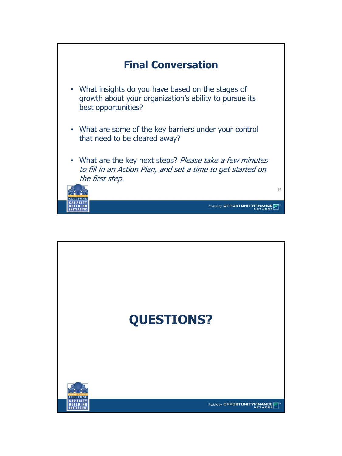

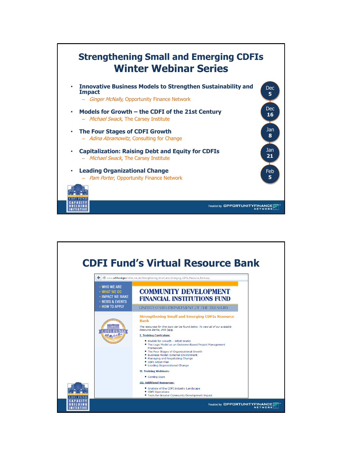

|                                                                                                     | <b>CDFI Fund's Virtual Resource Bank</b><br>www.cdfifund.gov/what_we_do/Strengthening_Small_and_Emerging_CDFIs_Resource_Bank.asp                                                                                                                                                                                                                                                                                                                                                                                                                                      |  |
|-----------------------------------------------------------------------------------------------------|-----------------------------------------------------------------------------------------------------------------------------------------------------------------------------------------------------------------------------------------------------------------------------------------------------------------------------------------------------------------------------------------------------------------------------------------------------------------------------------------------------------------------------------------------------------------------|--|
| <b>· WHO WE ARE</b><br>• WHAT WE DO<br><b>• IMPACT WE MAKE</b><br>- NEWS & EVENTS<br>- HOW TO APPLY | <b>COMMUNITY DEVELOPMENT</b><br><b>FINANCIAL INSTITUTIONS FUND</b><br>UNITED STATES DEPARTMENT OF THE TREASURY                                                                                                                                                                                                                                                                                                                                                                                                                                                        |  |
| шш                                                                                                  | <b>Strengthening Small and Emerging CDFIs Resource</b><br><b>Bank</b><br>The resources for this topic can be found below. To view all of our available<br>Resource Banks, click here.<br><b>I. Training Curriculum:</b><br>. Models for Growth - What Works<br>. The Logic Model as an Outcome-Based Project Management<br>Framework<br>. The Four Stages of Organizational Growth<br><b>Business Model: External Environment</b><br>٠<br>. Managing and Negotiating Change<br>• CDFI Action Plan<br>• Leading Organizational Change<br><b>II. Training Webinars:</b> |  |
|                                                                                                     | • Coming Soon<br><b>III. Additional Resources:</b><br>• Analysis of the CDFI Industry Landscape<br>• CDFI Operations<br>. Tools for Greater Community Development Impact                                                                                                                                                                                                                                                                                                                                                                                              |  |
|                                                                                                     | Provided by <b>OPPORTUNITYFINAND</b>                                                                                                                                                                                                                                                                                                                                                                                                                                                                                                                                  |  |